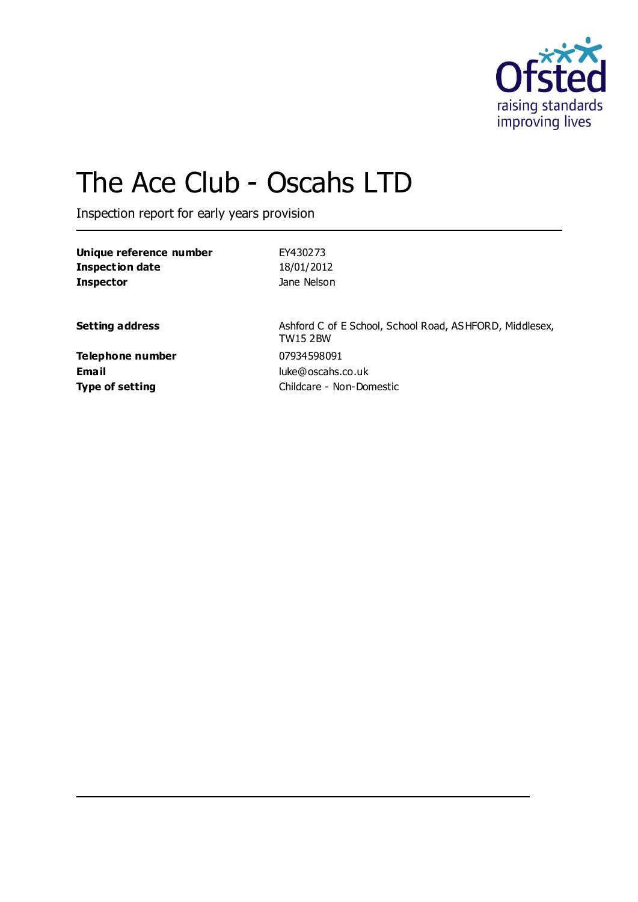

# The Ace Club - Oscahs LTD

Inspection report for early years provision

| Unique reference number | EY430273    |  |
|-------------------------|-------------|--|
| Inspection date         | 18/01/2012  |  |
| <b>Inspector</b>        | Jane Nelson |  |
|                         |             |  |
|                         |             |  |

**Telephone number** 07934598091

**Setting address** Ashford C of E School, School Road, ASHFORD, Middlesex, TW15 2BW **Email** luke@oscahs.co.uk **Type of setting** Childcare - Non-Domestic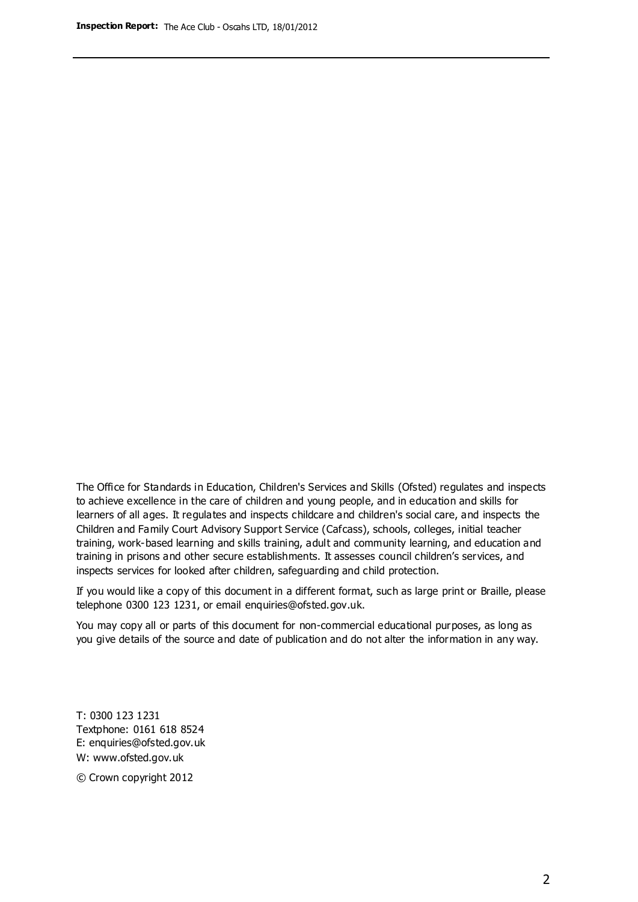The Office for Standards in Education, Children's Services and Skills (Ofsted) regulates and inspects to achieve excellence in the care of children and young people, and in education and skills for learners of all ages. It regulates and inspects childcare and children's social care, and inspects the Children and Family Court Advisory Support Service (Cafcass), schools, colleges, initial teacher training, work-based learning and skills training, adult and community learning, and education and training in prisons and other secure establishments. It assesses council children's services, and inspects services for looked after children, safeguarding and child protection.

If you would like a copy of this document in a different format, such as large print or Braille, please telephone 0300 123 1231, or email enquiries@ofsted.gov.uk.

You may copy all or parts of this document for non-commercial educational purposes, as long as you give details of the source and date of publication and do not alter the information in any way.

T: 0300 123 1231 Textphone: 0161 618 8524 E: enquiries@ofsted.gov.uk W: [www.ofsted.gov.uk](http://www.ofsted.gov.uk/)

© Crown copyright 2012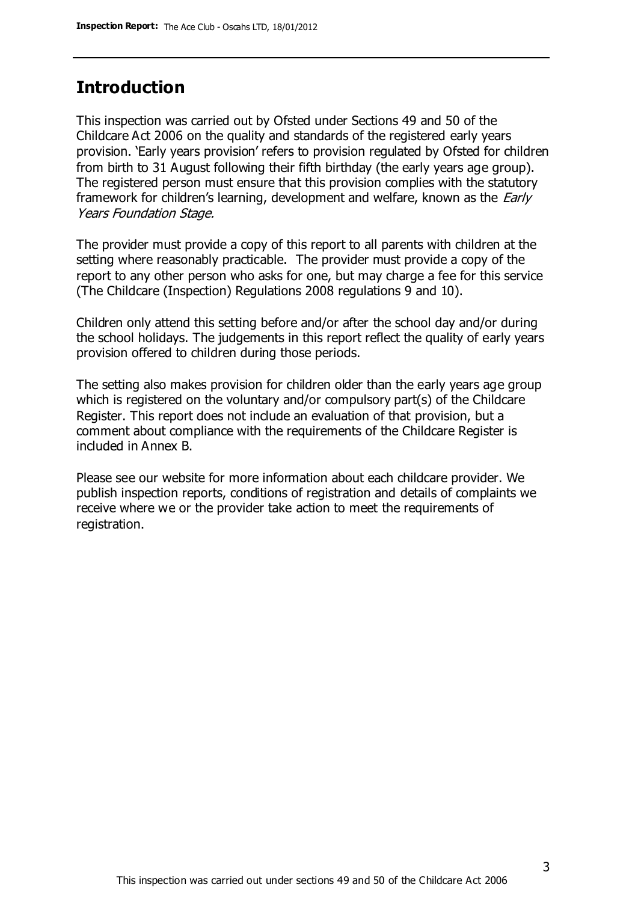## **Introduction**

This inspection was carried out by Ofsted under Sections 49 and 50 of the Childcare Act 2006 on the quality and standards of the registered early years provision. 'Early years provision' refers to provision regulated by Ofsted for children from birth to 31 August following their fifth birthday (the early years age group). The registered person must ensure that this provision complies with the statutory framework for children's learning, development and welfare, known as the *Early* Years Foundation Stage.

The provider must provide a copy of this report to all parents with children at the setting where reasonably practicable. The provider must provide a copy of the report to any other person who asks for one, but may charge a fee for this service (The Childcare (Inspection) Regulations 2008 regulations 9 and 10).

Children only attend this setting before and/or after the school day and/or during the school holidays. The judgements in this report reflect the quality of early years provision offered to children during those periods.

The setting also makes provision for children older than the early years age group which is registered on the voluntary and/or compulsory part(s) of the Childcare Register. This report does not include an evaluation of that provision, but a comment about compliance with the requirements of the Childcare Register is included in Annex B.

Please see our website for more information about each childcare provider. We publish inspection reports, conditions of registration and details of complaints we receive where we or the provider take action to meet the requirements of registration.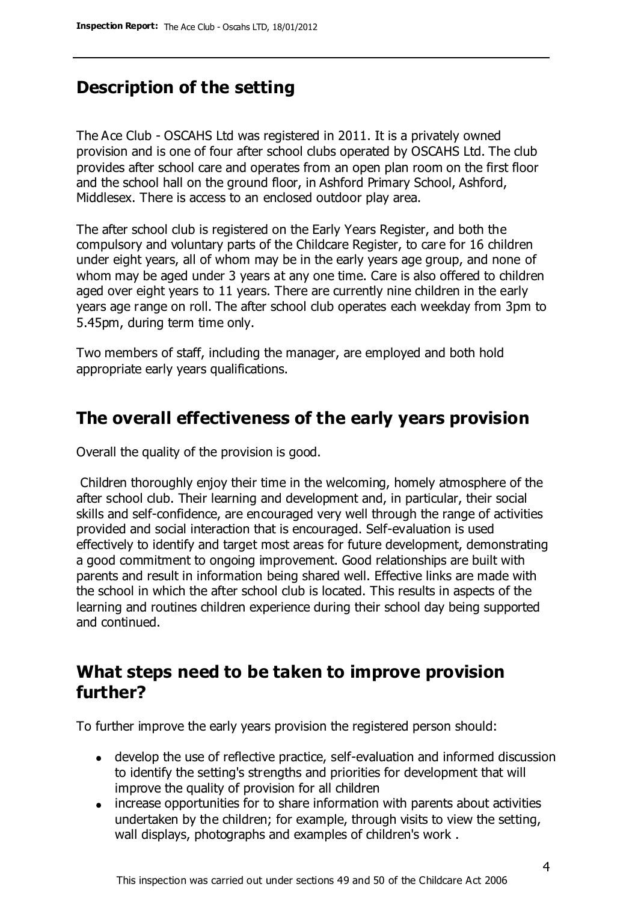# **Description of the setting**

The Ace Club - OSCAHS Ltd was registered in 2011. It is a privately owned provision and is one of four after school clubs operated by OSCAHS Ltd. The club provides after school care and operates from an open plan room on the first floor and the school hall on the ground floor, in Ashford Primary School, Ashford, Middlesex. There is access to an enclosed outdoor play area.

The after school club is registered on the Early Years Register, and both the compulsory and voluntary parts of the Childcare Register, to care for 16 children under eight years, all of whom may be in the early years age group, and none of whom may be aged under 3 years at any one time. Care is also offered to children aged over eight years to 11 years. There are currently nine children in the early years age range on roll. The after school club operates each weekday from 3pm to 5.45pm, during term time only.

Two members of staff, including the manager, are employed and both hold appropriate early years qualifications.

## **The overall effectiveness of the early years provision**

Overall the quality of the provision is good.

Children thoroughly enjoy their time in the welcoming, homely atmosphere of the after school club. Their learning and development and, in particular, their social skills and self-confidence, are encouraged very well through the range of activities provided and social interaction that is encouraged. Self-evaluation is used effectively to identify and target most areas for future development, demonstrating a good commitment to ongoing improvement. Good relationships are built with parents and result in information being shared well. Effective links are made with the school in which the after school club is located. This results in aspects of the learning and routines children experience during their school day being supported and continued.

## **What steps need to be taken to improve provision further?**

To further improve the early years provision the registered person should:

- develop the use of reflective practice, self-evaluation and informed discussion to identify the setting's strengths and priorities for development that will improve the quality of provision for all children
- increase opportunities for to share information with parents about activities undertaken by the children; for example, through visits to view the setting, wall displays, photographs and examples of children's work .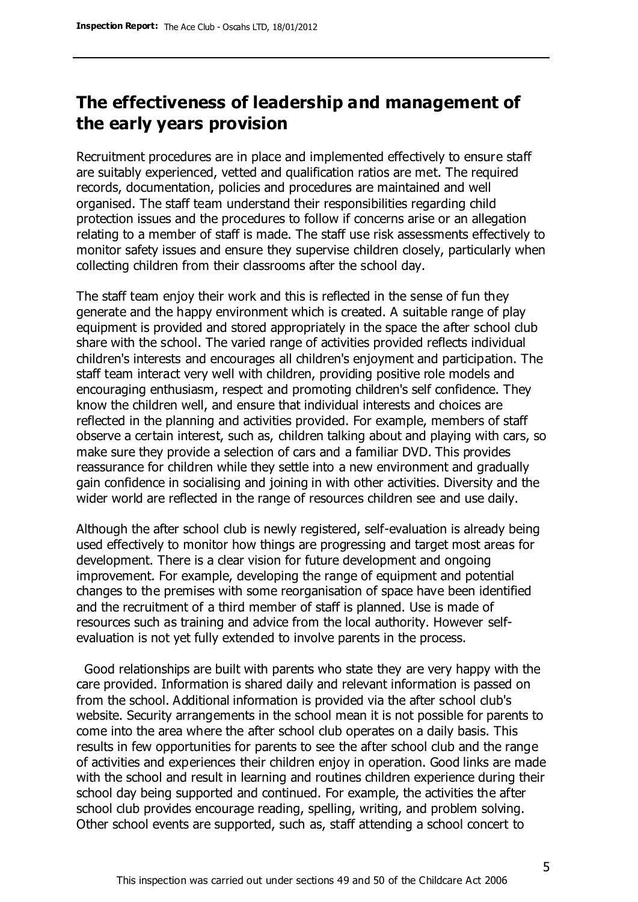# **The effectiveness of leadership and management of the early years provision**

Recruitment procedures are in place and implemented effectively to ensure staff are suitably experienced, vetted and qualification ratios are met. The required records, documentation, policies and procedures are maintained and well organised. The staff team understand their responsibilities regarding child protection issues and the procedures to follow if concerns arise or an allegation relating to a member of staff is made. The staff use risk assessments effectively to monitor safety issues and ensure they supervise children closely, particularly when collecting children from their classrooms after the school day.

The staff team enjoy their work and this is reflected in the sense of fun they generate and the happy environment which is created. A suitable range of play equipment is provided and stored appropriately in the space the after school club share with the school. The varied range of activities provided reflects individual children's interests and encourages all children's enjoyment and participation. The staff team interact very well with children, providing positive role models and encouraging enthusiasm, respect and promoting children's self confidence. They know the children well, and ensure that individual interests and choices are reflected in the planning and activities provided. For example, members of staff observe a certain interest, such as, children talking about and playing with cars, so make sure they provide a selection of cars and a familiar DVD. This provides reassurance for children while they settle into a new environment and gradually gain confidence in socialising and joining in with other activities. Diversity and the wider world are reflected in the range of resources children see and use daily.

Although the after school club is newly registered, self-evaluation is already being used effectively to monitor how things are progressing and target most areas for development. There is a clear vision for future development and ongoing improvement. For example, developing the range of equipment and potential changes to the premises with some reorganisation of space have been identified and the recruitment of a third member of staff is planned. Use is made of resources such as training and advice from the local authority. However selfevaluation is not yet fully extended to involve parents in the process.

 Good relationships are built with parents who state they are very happy with the care provided. Information is shared daily and relevant information is passed on from the school. Additional information is provided via the after school club's website. Security arrangements in the school mean it is not possible for parents to come into the area where the after school club operates on a daily basis. This results in few opportunities for parents to see the after school club and the range of activities and experiences their children enjoy in operation. Good links are made with the school and result in learning and routines children experience during their school day being supported and continued. For example, the activities the after school club provides encourage reading, spelling, writing, and problem solving. Other school events are supported, such as, staff attending a school concert to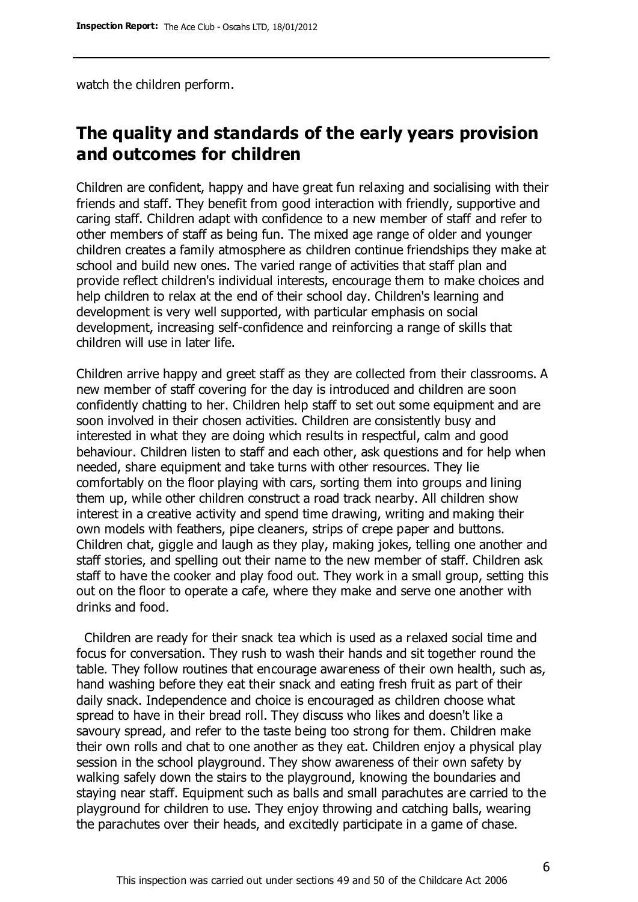watch the children perform.

# **The quality and standards of the early years provision and outcomes for children**

Children are confident, happy and have great fun relaxing and socialising with their friends and staff. They benefit from good interaction with friendly, supportive and caring staff. Children adapt with confidence to a new member of staff and refer to other members of staff as being fun. The mixed age range of older and younger children creates a family atmosphere as children continue friendships they make at school and build new ones. The varied range of activities that staff plan and provide reflect children's individual interests, encourage them to make choices and help children to relax at the end of their school day. Children's learning and development is very well supported, with particular emphasis on social development, increasing self-confidence and reinforcing a range of skills that children will use in later life.

Children arrive happy and greet staff as they are collected from their classrooms. A new member of staff covering for the day is introduced and children are soon confidently chatting to her. Children help staff to set out some equipment and are soon involved in their chosen activities. Children are consistently busy and interested in what they are doing which results in respectful, calm and good behaviour. Children listen to staff and each other, ask questions and for help when needed, share equipment and take turns with other resources. They lie comfortably on the floor playing with cars, sorting them into groups and lining them up, while other children construct a road track nearby. All children show interest in a creative activity and spend time drawing, writing and making their own models with feathers, pipe cleaners, strips of crepe paper and buttons. Children chat, giggle and laugh as they play, making jokes, telling one another and staff stories, and spelling out their name to the new member of staff. Children ask staff to have the cooker and play food out. They work in a small group, setting this out on the floor to operate a cafe, where they make and serve one another with drinks and food.

 Children are ready for their snack tea which is used as a relaxed social time and focus for conversation. They rush to wash their hands and sit together round the table. They follow routines that encourage awareness of their own health, such as, hand washing before they eat their snack and eating fresh fruit as part of their daily snack. Independence and choice is encouraged as children choose what spread to have in their bread roll. They discuss who likes and doesn't like a savoury spread, and refer to the taste being too strong for them. Children make their own rolls and chat to one another as they eat. Children enjoy a physical play session in the school playground. They show awareness of their own safety by walking safely down the stairs to the playground, knowing the boundaries and staying near staff. Equipment such as balls and small parachutes are carried to the playground for children to use. They enjoy throwing and catching balls, wearing the parachutes over their heads, and excitedly participate in a game of chase.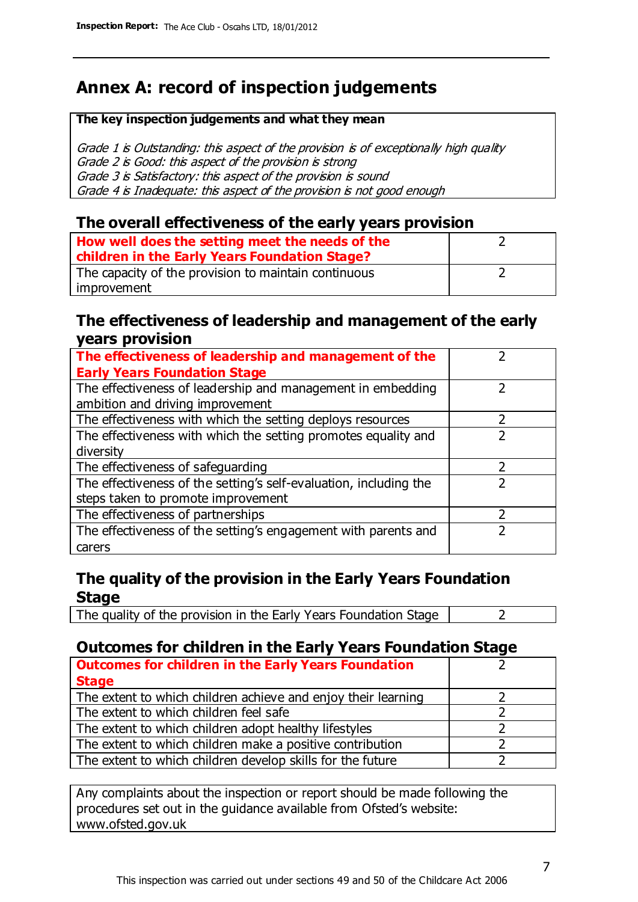# **Annex A: record of inspection judgements**

#### **The key inspection judgements and what they mean**

Grade 1 is Outstanding: this aspect of the provision is of exceptionally high quality Grade 2 is Good: this aspect of the provision is strong Grade 3 is Satisfactory: this aspect of the provision is sound Grade 4 is Inadequate: this aspect of the provision is not good enough

### **The overall effectiveness of the early years provision**

| How well does the setting meet the needs of the<br>children in the Early Years Foundation Stage? |  |
|--------------------------------------------------------------------------------------------------|--|
| The capacity of the provision to maintain continuous                                             |  |
| improvement                                                                                      |  |

### **The effectiveness of leadership and management of the early years provision**

| The effectiveness of leadership and management of the             |  |
|-------------------------------------------------------------------|--|
| <b>Early Years Foundation Stage</b>                               |  |
| The effectiveness of leadership and management in embedding       |  |
| ambition and driving improvement                                  |  |
| The effectiveness with which the setting deploys resources        |  |
| The effectiveness with which the setting promotes equality and    |  |
| diversity                                                         |  |
| The effectiveness of safeguarding                                 |  |
| The effectiveness of the setting's self-evaluation, including the |  |
| steps taken to promote improvement                                |  |
| The effectiveness of partnerships                                 |  |
| The effectiveness of the setting's engagement with parents and    |  |
| carers                                                            |  |

## **The quality of the provision in the Early Years Foundation Stage**

The quality of the provision in the Early Years Foundation Stage  $\vert$  2

## **Outcomes for children in the Early Years Foundation Stage**

| <b>Outcomes for children in the Early Years Foundation</b>    |  |
|---------------------------------------------------------------|--|
| <b>Stage</b>                                                  |  |
| The extent to which children achieve and enjoy their learning |  |
| The extent to which children feel safe                        |  |
| The extent to which children adopt healthy lifestyles         |  |
| The extent to which children make a positive contribution     |  |
| The extent to which children develop skills for the future    |  |

Any complaints about the inspection or report should be made following the procedures set out in the guidance available from Ofsted's website: www.ofsted.gov.uk